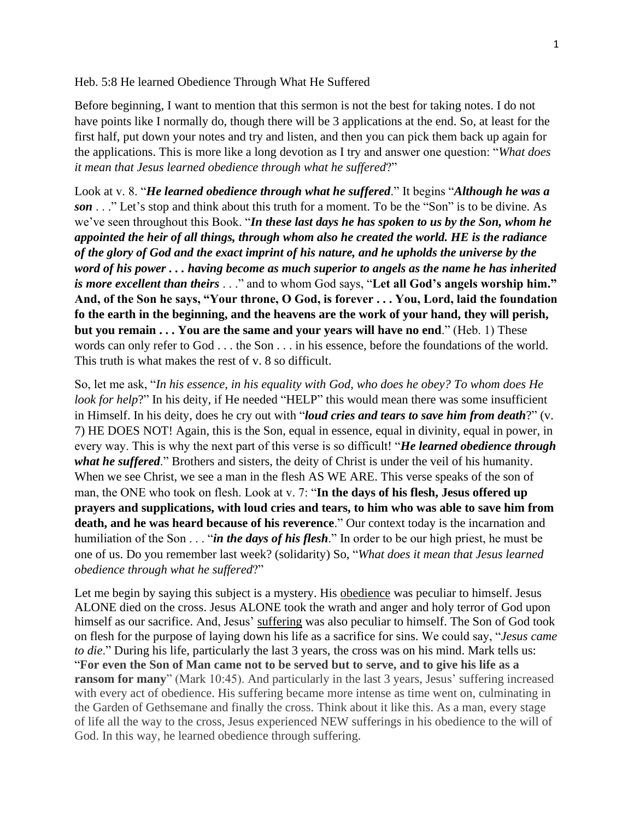Heb. 5:8 He learned Obedience Through What He Suffered

Before beginning, I want to mention that this sermon is not the best for taking notes. I do not have points like I normally do, though there will be 3 applications at the end. So, at least for the first half, put down your notes and try and listen, and then you can pick them back up again for the applications. This is more like a long devotion as I try and answer one question: "*What does it mean that Jesus learned obedience through what he suffered*?"

Look at v. 8. "*He learned obedience through what he suffered*." It begins "*Although he was a son* . . ." Let's stop and think about this truth for a moment. To be the "Son" is to be divine. As we've seen throughout this Book. "*In these last days he has spoken to us by the Son, whom he appointed the heir of all things, through whom also he created the world. HE is the radiance of the glory of God and the exact imprint of his nature, and he upholds the universe by the word of his power . . . having become as much superior to angels as the name he has inherited is more excellent than theirs* . . ." and to whom God says, "**Let all God's angels worship him." And, of the Son he says, "Your throne, O God, is forever . . . You, Lord, laid the foundation fo the earth in the beginning, and the heavens are the work of your hand, they will perish, but you remain . . . You are the same and your years will have no end**." (Heb. 1) These words can only refer to God . . . the Son . . . in his essence, before the foundations of the world. This truth is what makes the rest of v. 8 so difficult.

So, let me ask, "*In his essence, in his equality with God, who does he obey? To whom does He look for help*?" In his deity, if He needed "HELP" this would mean there was some insufficient in Himself. In his deity, does he cry out with "*loud cries and tears to save him from death*?" (v. 7) HE DOES NOT! Again, this is the Son, equal in essence, equal in divinity, equal in power, in every way. This is why the next part of this verse is so difficult! "*He learned obedience through what he suffered*." Brothers and sisters, the deity of Christ is under the veil of his humanity. When we see Christ, we see a man in the flesh AS WE ARE. This verse speaks of the son of man, the ONE who took on flesh. Look at v. 7: "**In the days of his flesh, Jesus offered up prayers and supplications, with loud cries and tears, to him who was able to save him from death, and he was heard because of his reverence**." Our context today is the incarnation and humiliation of the Son . . . "*in the days of his flesh*." In order to be our high priest, he must be one of us. Do you remember last week? (solidarity) So, "*What does it mean that Jesus learned obedience through what he suffered*?"

Let me begin by saying this subject is a mystery. His obedience was peculiar to himself. Jesus ALONE died on the cross. Jesus ALONE took the wrath and anger and holy terror of God upon himself as our sacrifice. And, Jesus' suffering was also peculiar to himself. The Son of God took on flesh for the purpose of laying down his life as a sacrifice for sins. We could say, "*Jesus came to die.*" During his life, particularly the last 3 years, the cross was on his mind. Mark tells us: "**For even the Son of Man came not to be served but to serve, and to give his life as a ransom for many**" (Mark 10:45). And particularly in the last 3 years, Jesus' suffering increased with every act of obedience. His suffering became more intense as time went on, culminating in the Garden of Gethsemane and finally the cross. Think about it like this. As a man, every stage of life all the way to the cross, Jesus experienced NEW sufferings in his obedience to the will of God. In this way, he learned obedience through suffering.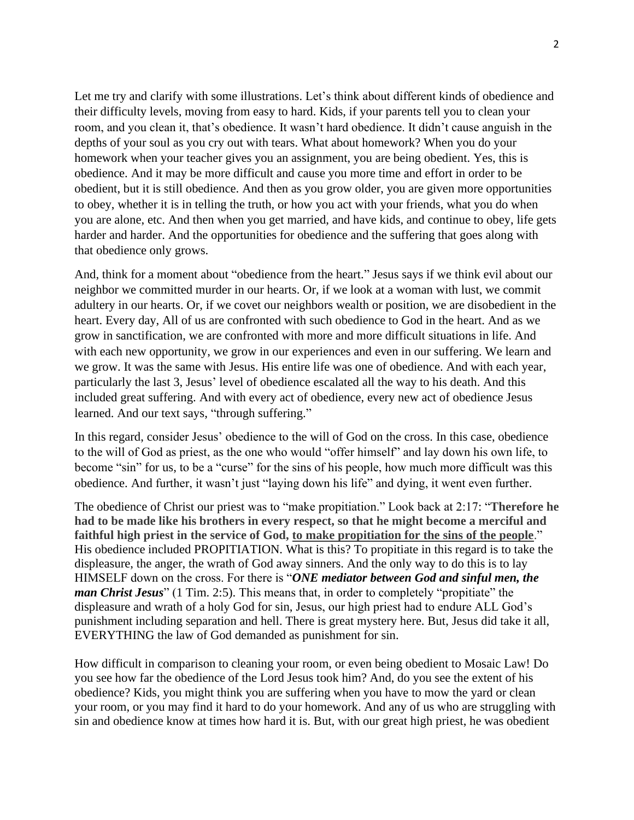Let me try and clarify with some illustrations. Let's think about different kinds of obedience and their difficulty levels, moving from easy to hard. Kids, if your parents tell you to clean your room, and you clean it, that's obedience. It wasn't hard obedience. It didn't cause anguish in the depths of your soul as you cry out with tears. What about homework? When you do your homework when your teacher gives you an assignment, you are being obedient. Yes, this is obedience. And it may be more difficult and cause you more time and effort in order to be obedient, but it is still obedience. And then as you grow older, you are given more opportunities to obey, whether it is in telling the truth, or how you act with your friends, what you do when you are alone, etc. And then when you get married, and have kids, and continue to obey, life gets harder and harder. And the opportunities for obedience and the suffering that goes along with that obedience only grows.

And, think for a moment about "obedience from the heart." Jesus says if we think evil about our neighbor we committed murder in our hearts. Or, if we look at a woman with lust, we commit adultery in our hearts. Or, if we covet our neighbors wealth or position, we are disobedient in the heart. Every day, All of us are confronted with such obedience to God in the heart. And as we grow in sanctification, we are confronted with more and more difficult situations in life. And with each new opportunity, we grow in our experiences and even in our suffering. We learn and we grow. It was the same with Jesus. His entire life was one of obedience. And with each year, particularly the last 3, Jesus' level of obedience escalated all the way to his death. And this included great suffering. And with every act of obedience, every new act of obedience Jesus learned. And our text says, "through suffering."

In this regard, consider Jesus' obedience to the will of God on the cross. In this case, obedience to the will of God as priest, as the one who would "offer himself" and lay down his own life, to become "sin" for us, to be a "curse" for the sins of his people, how much more difficult was this obedience. And further, it wasn't just "laying down his life" and dying, it went even further.

The obedience of Christ our priest was to "make propitiation." Look back at 2:17: "**Therefore he had to be made like his brothers in every respect, so that he might become a merciful and faithful high priest in the service of God, to make propitiation for the sins of the people**." His obedience included PROPITIATION. What is this? To propitiate in this regard is to take the displeasure, the anger, the wrath of God away sinners. And the only way to do this is to lay HIMSELF down on the cross. For there is "*ONE mediator between God and sinful men, the man Christ Jesus*" (1 Tim. 2:5). This means that, in order to completely "propitiate" the displeasure and wrath of a holy God for sin, Jesus, our high priest had to endure ALL God's punishment including separation and hell. There is great mystery here. But, Jesus did take it all, EVERYTHING the law of God demanded as punishment for sin.

How difficult in comparison to cleaning your room, or even being obedient to Mosaic Law! Do you see how far the obedience of the Lord Jesus took him? And, do you see the extent of his obedience? Kids, you might think you are suffering when you have to mow the yard or clean your room, or you may find it hard to do your homework. And any of us who are struggling with sin and obedience know at times how hard it is. But, with our great high priest, he was obedient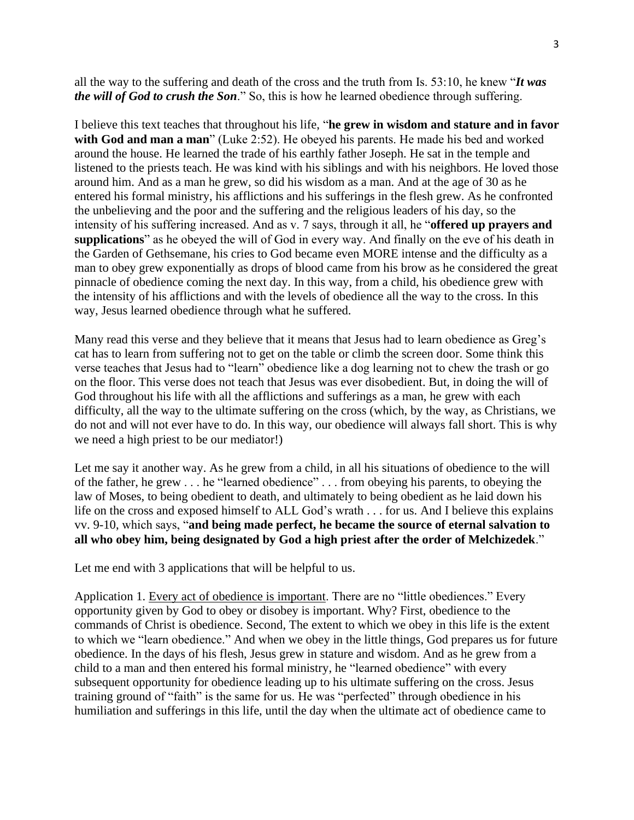all the way to the suffering and death of the cross and the truth from Is. 53:10, he knew "*It was the will of God to crush the Son*." So, this is how he learned obedience through suffering.

I believe this text teaches that throughout his life, "**he grew in wisdom and stature and in favor with God and man a man**" (Luke 2:52). He obeyed his parents. He made his bed and worked around the house. He learned the trade of his earthly father Joseph. He sat in the temple and listened to the priests teach. He was kind with his siblings and with his neighbors. He loved those around him. And as a man he grew, so did his wisdom as a man. And at the age of 30 as he entered his formal ministry, his afflictions and his sufferings in the flesh grew. As he confronted the unbelieving and the poor and the suffering and the religious leaders of his day, so the intensity of his suffering increased. And as v. 7 says, through it all, he "**offered up prayers and supplications**" as he obeyed the will of God in every way. And finally on the eve of his death in the Garden of Gethsemane, his cries to God became even MORE intense and the difficulty as a man to obey grew exponentially as drops of blood came from his brow as he considered the great pinnacle of obedience coming the next day. In this way, from a child, his obedience grew with the intensity of his afflictions and with the levels of obedience all the way to the cross. In this way, Jesus learned obedience through what he suffered.

Many read this verse and they believe that it means that Jesus had to learn obedience as Greg's cat has to learn from suffering not to get on the table or climb the screen door. Some think this verse teaches that Jesus had to "learn" obedience like a dog learning not to chew the trash or go on the floor. This verse does not teach that Jesus was ever disobedient. But, in doing the will of God throughout his life with all the afflictions and sufferings as a man, he grew with each difficulty, all the way to the ultimate suffering on the cross (which, by the way, as Christians, we do not and will not ever have to do. In this way, our obedience will always fall short. This is why we need a high priest to be our mediator!)

Let me say it another way. As he grew from a child, in all his situations of obedience to the will of the father, he grew . . . he "learned obedience" . . . from obeying his parents, to obeying the law of Moses, to being obedient to death, and ultimately to being obedient as he laid down his life on the cross and exposed himself to ALL God's wrath . . . for us. And I believe this explains vv. 9-10, which says, "**and being made perfect, he became the source of eternal salvation to all who obey him, being designated by God a high priest after the order of Melchizedek**."

Let me end with 3 applications that will be helpful to us.

Application 1. Every act of obedience is important. There are no "little obediences." Every opportunity given by God to obey or disobey is important. Why? First, obedience to the commands of Christ is obedience. Second, The extent to which we obey in this life is the extent to which we "learn obedience." And when we obey in the little things, God prepares us for future obedience. In the days of his flesh, Jesus grew in stature and wisdom. And as he grew from a child to a man and then entered his formal ministry, he "learned obedience" with every subsequent opportunity for obedience leading up to his ultimate suffering on the cross. Jesus training ground of "faith" is the same for us. He was "perfected" through obedience in his humiliation and sufferings in this life, until the day when the ultimate act of obedience came to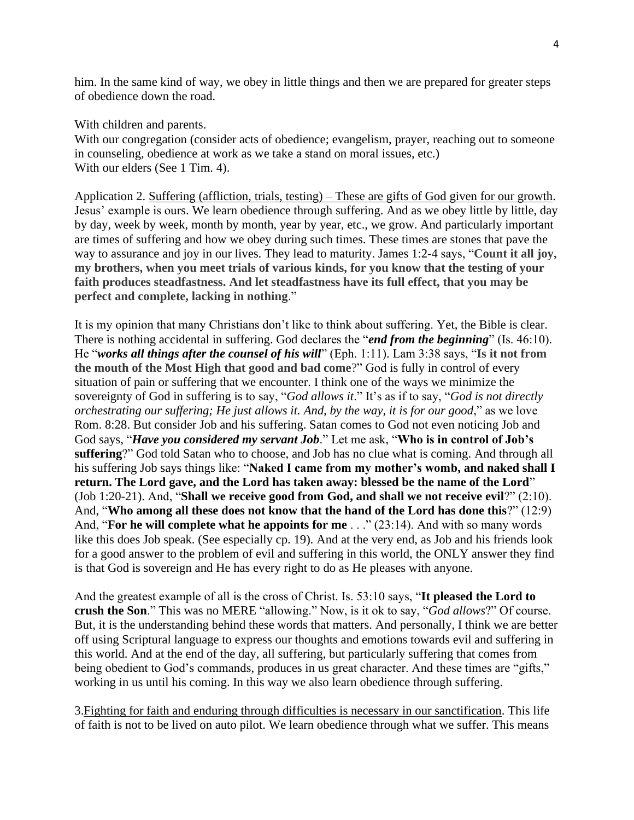him. In the same kind of way, we obey in little things and then we are prepared for greater steps of obedience down the road.

With children and parents.

With our congregation (consider acts of obedience; evangelism, prayer, reaching out to someone in counseling, obedience at work as we take a stand on moral issues, etc.) With our elders (See 1 Tim. 4).

Application 2. Suffering (affliction, trials, testing) – These are gifts of God given for our growth. Jesus' example is ours. We learn obedience through suffering. And as we obey little by little, day by day, week by week, month by month, year by year, etc., we grow. And particularly important are times of suffering and how we obey during such times. These times are stones that pave the way to assurance and joy in our lives. They lead to maturity. James 1:2-4 says, "**Count it all joy, my brothers, when you meet trials of various kinds, for you know that the testing of your faith produces steadfastness. And let steadfastness have its full effect, that you may be perfect and complete, lacking in nothing**."

It is my opinion that many Christians don't like to think about suffering. Yet, the Bible is clear. There is nothing accidental in suffering. God declares the "*end from the beginning*" (Is. 46:10). He "*works all things after the counsel of his will*" (Eph. 1:11). Lam 3:38 says, "**Is it not from the mouth of the Most High that good and bad come**?" God is fully in control of every situation of pain or suffering that we encounter. I think one of the ways we minimize the sovereignty of God in suffering is to say, "*God allows it*." It's as if to say, "*God is not directly orchestrating our suffering; He just allows it. And, by the way, it is for our good*," as we love Rom. 8:28. But consider Job and his suffering. Satan comes to God not even noticing Job and God says, "*Have you considered my servant Job*." Let me ask, "**Who is in control of Job's suffering**?" God told Satan who to choose, and Job has no clue what is coming. And through all his suffering Job says things like: "**Naked I came from my mother's womb, and naked shall I return. The Lord gave, and the Lord has taken away: blessed be the name of the Lord**" (Job 1:20-21). And, "**Shall we receive good from God, and shall we not receive evil**?" (2:10). And, "**Who among all these does not know that the hand of the Lord has done this**?" (12:9) And, "**For he will complete what he appoints for me** . . ." (23:14). And with so many words like this does Job speak. (See especially cp. 19). And at the very end, as Job and his friends look for a good answer to the problem of evil and suffering in this world, the ONLY answer they find is that God is sovereign and He has every right to do as He pleases with anyone.

And the greatest example of all is the cross of Christ. Is. 53:10 says, "**It pleased the Lord to crush the Son**." This was no MERE "allowing." Now, is it ok to say, "*God allows*?" Of course. But, it is the understanding behind these words that matters. And personally, I think we are better off using Scriptural language to express our thoughts and emotions towards evil and suffering in this world. And at the end of the day, all suffering, but particularly suffering that comes from being obedient to God's commands, produces in us great character. And these times are "gifts," working in us until his coming. In this way we also learn obedience through suffering.

3.Fighting for faith and enduring through difficulties is necessary in our sanctification. This life of faith is not to be lived on auto pilot. We learn obedience through what we suffer. This means